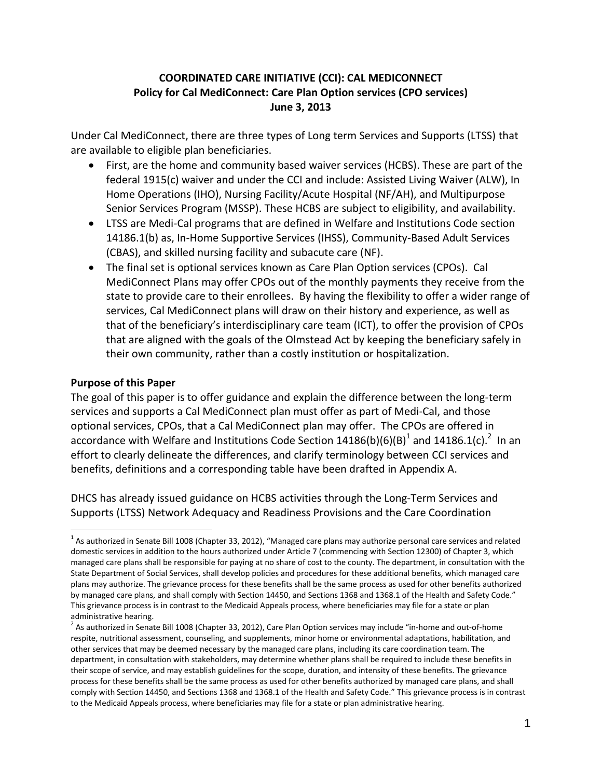# **COORDINATED CARE INITIATIVE (CCI): CAL MEDICONNECT Policy for Cal MediConnect: Care Plan Option services (CPO services) June 3, 2013**

Under Cal MediConnect, there are three types of Long term Services and Supports (LTSS) that are available to eligible plan beneficiaries.

- First, are the home and community based waiver services (HCBS). These are part of the federal 1915(c) waiver and under the CCI and include: Assisted Living Waiver (ALW), In Home Operations (IHO), Nursing Facility/Acute Hospital (NF/AH), and Multipurpose Senior Services Program (MSSP). These HCBS are subject to eligibility, and availability.
- LTSS are Medi-Cal programs that are defined in Welfare and Institutions Code section 14186.1(b) as, In-Home Supportive Services (IHSS), Community-Based Adult Services (CBAS), and skilled nursing facility and subacute care (NF).
- The final set is optional services known as Care Plan Option services (CPOs). Cal MediConnect Plans may offer CPOs out of the monthly payments they receive from the state to provide care to their enrollees. By having the flexibility to offer a wider range of services, Cal MediConnect plans will draw on their history and experience, as well as that of the beneficiary's interdisciplinary care team (ICT), to offer the provision of CPOs that are aligned with the goals of the Olmstead Act by keeping the beneficiary safely in their own community, rather than a costly institution or hospitalization.

#### **Purpose of this Paper**

The goal of this paper is to offer guidance and explain the difference between the long-term services and supports a Cal MediConnect plan must offer as part of Medi-Cal, and those optional services, CPOs, that a Cal MediConnect plan may offer. The CPOs are offered in accordance with Welfare and Institutions Code Section 14186(b)(6)(B)<sup>1</sup> and 14186.1(c).<sup>2</sup> In an effort to clearly delineate the differences, and clarify terminology between CCI services and benefits, definitions and a corresponding table have been drafted in Appendix A.

DHCS has already issued guidance on HCBS activities through the Long-Term Services and Supports (LTSS) Network Adequacy and Readiness Provisions and the Care Coordination

 $\overline{a}$  $^1$  As authorized in Senate Bill 1008 (Chapter 33, 2012), "Managed care plans may authorize personal care services and related domestic services in addition to the hours authorized under Article 7 (commencing with Section 12300) of Chapter 3, which managed care plans shall be responsible for paying at no share of cost to the county. The department, in consultation with the State Department of Social Services, shall develop policies and procedures for these additional benefits, which managed care plans may authorize. The grievance process for these benefits shall be the same process as used for other benefits authorized by managed care plans, and shall comply with Section 14450, and Sections 1368 and 1368.1 of the Health and Safety Code." This grievance process is in contrast to the Medicaid Appeals process, where beneficiaries may file for a state or plan administrative hearing.

<sup>&</sup>lt;sup>2</sup> As authorized in Senate Bill 1008 (Chapter 33, 2012), Care Plan Option services may include "in-home and out-of-home respite, nutritional assessment, counseling, and supplements, minor home or environmental adaptations, habilitation, and other services that may be deemed necessary by the managed care plans, including its care coordination team. The department, in consultation with stakeholders, may determine whether plans shall be required to include these benefits in their scope of service, and may establish guidelines for the scope, duration, and intensity of these benefits. The grievance process for these benefits shall be the same process as used for other benefits authorized by managed care plans, and shall comply with Section 14450, and Sections 1368 and 1368.1 of the Health and Safety Code." This grievance process is in contrast to the Medicaid Appeals process, where beneficiaries may file for a state or plan administrative hearing.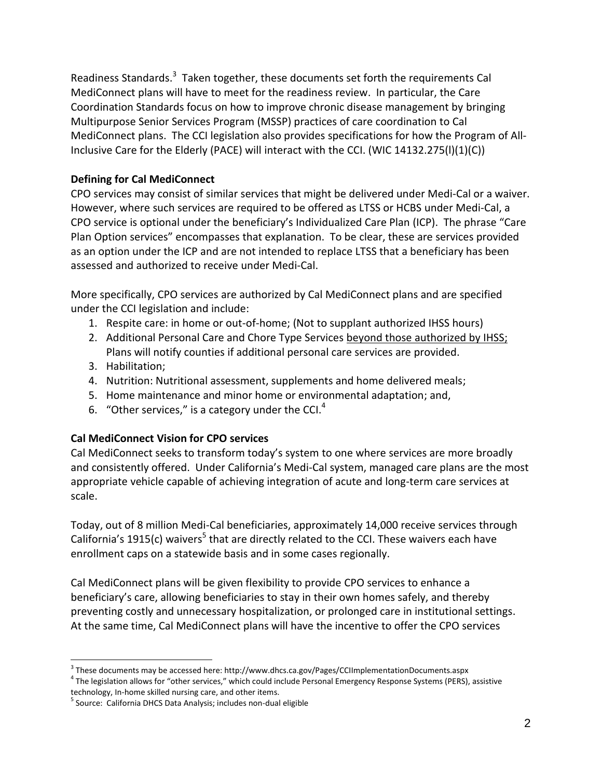Readiness Standards.<sup>3</sup> Taken together, these documents set forth the requirements Cal MediConnect plans will have to meet for the readiness review. In particular, the Care Coordination Standards focus on how to improve chronic disease management by bringing Multipurpose Senior Services Program (MSSP) practices of care coordination to Cal MediConnect plans. The CCI legislation also provides specifications for how the Program of All-Inclusive Care for the Elderly (PACE) will interact with the CCI. (WIC 14132.275(l)(1)(C))

# **Defining for Cal MediConnect**

CPO services may consist of similar services that might be delivered under Medi-Cal or a waiver. However, where such services are required to be offered as LTSS or HCBS under Medi-Cal, a CPO service is optional under the beneficiary's Individualized Care Plan (ICP). The phrase "Care Plan Option services" encompasses that explanation. To be clear, these are services provided as an option under the ICP and are not intended to replace LTSS that a beneficiary has been assessed and authorized to receive under Medi-Cal.

More specifically, CPO services are authorized by Cal MediConnect plans and are specified under the CCI legislation and include:

- 1. Respite care: in home or out-of-home; (Not to supplant authorized IHSS hours)
- 2. Additional Personal Care and Chore Type Services beyond those authorized by IHSS; Plans will notify counties if additional personal care services are provided.
- 3. Habilitation;

 $\overline{a}$ 

- 4. Nutrition: Nutritional assessment, supplements and home delivered meals;
- 5. Home maintenance and minor home or environmental adaptation; and,
- 6. "Other services," is a category under the CCI.<sup>4</sup>

#### **Cal MediConnect Vision for CPO services**

Cal MediConnect seeks to transform today's system to one where services are more broadly and consistently offered. Under California's Medi-Cal system, managed care plans are the most appropriate vehicle capable of achieving integration of acute and long-term care services at scale.

Today, out of 8 million Medi-Cal beneficiaries, approximately 14,000 receive services through California's 1915(c) waivers<sup>5</sup> that are directly related to the CCI. These waivers each have enrollment caps on a statewide basis and in some cases regionally.

Cal MediConnect plans will be given flexibility to provide CPO services to enhance a beneficiary's care, allowing beneficiaries to stay in their own homes safely, and thereby preventing costly and unnecessary hospitalization, or prolonged care in institutional settings. At the same time, Cal MediConnect plans will have the incentive to offer the CPO services

 $^3$  These documents may be accessed here: http://www.dhcs.ca.gov/Pages/CCIImplementationDocuments.aspx

<sup>&</sup>lt;sup>4</sup> The legislation allows for "other services," which could include Personal Emergency Response Systems (PERS), assistive technology, In-home skilled nursing care, and other items.

<sup>&</sup>lt;sup>5</sup> Source: California DHCS Data Analysis; includes non-dual eligible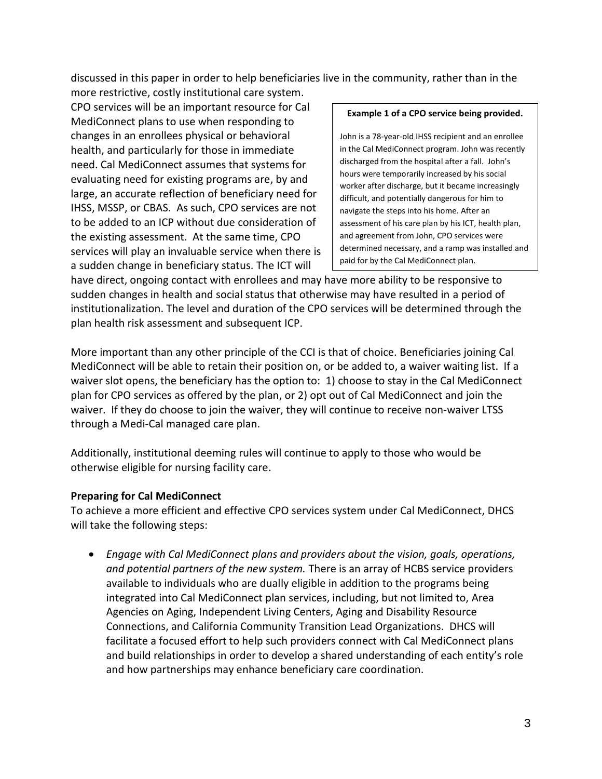discussed in this paper in order to help beneficiaries live in the community, rather than in the

more restrictive, costly institutional care system. CPO services will be an important resource for Cal MediConnect plans to use when responding to changes in an enrollees physical or behavioral health, and particularly for those in immediate need. Cal MediConnect assumes that systems for evaluating need for existing programs are, by and large, an accurate reflection of beneficiary need for IHSS, MSSP, or CBAS. As such, CPO services are not to be added to an ICP without due consideration of the existing assessment. At the same time, CPO services will play an invaluable service when there is a sudden change in beneficiary status. The ICT will

#### **Example 1 of a CPO service being provided.**

John is a 78-year-old IHSS recipient and an enrollee in the Cal MediConnect program. John was recently discharged from the hospital after a fall. John's hours were temporarily increased by his social worker after discharge, but it became increasingly difficult, and potentially dangerous for him to navigate the steps into his home. After an assessment of his care plan by his ICT, health plan, and agreement from John, CPO services were determined necessary, and a ramp was installed and paid for by the Cal MediConnect plan.

have direct, ongoing contact with enrollees and may have more ability to be responsive to sudden changes in health and social status that otherwise may have resulted in a period of institutionalization. The level and duration of the CPO services will be determined through the plan health risk assessment and subsequent ICP.

More important than any other principle of the CCI is that of choice. Beneficiaries joining Cal MediConnect will be able to retain their position on, or be added to, a waiver waiting list. If a waiver slot opens, the beneficiary has the option to: 1) choose to stay in the Cal MediConnect plan for CPO services as offered by the plan, or 2) opt out of Cal MediConnect and join the waiver. If they do choose to join the waiver, they will continue to receive non-waiver LTSS through a Medi-Cal managed care plan.

Additionally, institutional deeming rules will continue to apply to those who would be otherwise eligible for nursing facility care.

#### **Preparing for Cal MediConnect**

To achieve a more efficient and effective CPO services system under Cal MediConnect, DHCS will take the following steps:

 *Engage with Cal MediConnect plans and providers about the vision, goals, operations, and potential partners of the new system.* There is an array of HCBS service providers available to individuals who are dually eligible in addition to the programs being integrated into Cal MediConnect plan services, including, but not limited to, Area Agencies on Aging, Independent Living Centers, Aging and Disability Resource Connections, and California Community Transition Lead Organizations. DHCS will facilitate a focused effort to help such providers connect with Cal MediConnect plans and build relationships in order to develop a shared understanding of each entity's role and how partnerships may enhance beneficiary care coordination.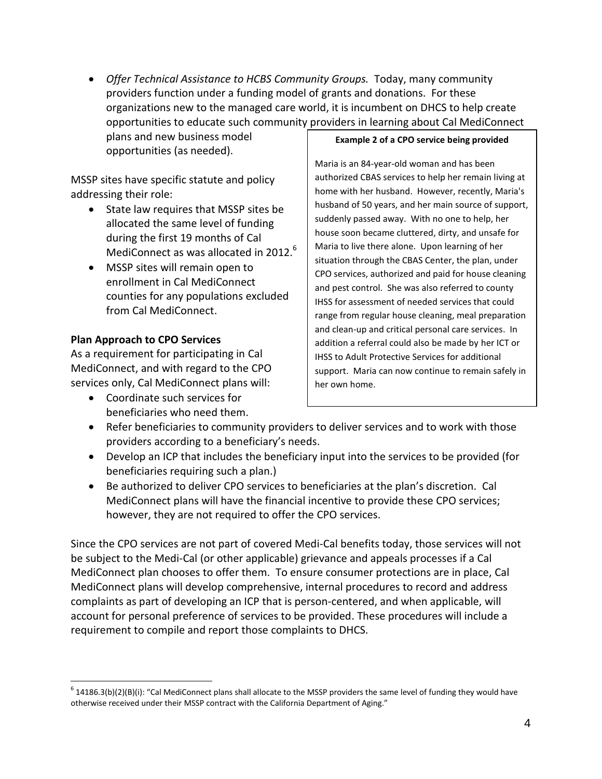*Offer Technical Assistance to HCBS Community Groups.* Today, many community providers function under a funding model of grants and donations. For these organizations new to the managed care world, it is incumbent on DHCS to help create opportunities to educate such community providers in learning about Cal MediConnect

plans and new business model opportunities (as needed).

MSSP sites have specific statute and policy addressing their role:

- State law requires that MSSP sites be allocated the same level of funding during the first 19 months of Cal MediConnect as was allocated in 2012.<sup>6</sup>
- MSSP sites will remain open to enrollment in Cal MediConnect counties for any populations excluded from Cal MediConnect.

# **Plan Approach to CPO Services**

As a requirement for participating in Cal MediConnect, and with regard to the CPO services only, Cal MediConnect plans will:

 Coordinate such services for beneficiaries who need them.

#### **Example 2 of a CPO service being provided**

Maria is an 84-year-old woman and has been authorized CBAS services to help her remain living at home with her husband. However, recently, Maria's husband of 50 years, and her main source of support, suddenly passed away. With no one to help, her house soon became cluttered, dirty, and unsafe for Maria to live there alone. Upon learning of her situation through the CBAS Center, the plan, under CPO services, authorized and paid for house cleaning and pest control. She was also referred to county IHSS for assessment of needed services that could range from regular house cleaning, meal preparation and clean-up and critical personal care services. In addition a referral could also be made by her ICT or IHSS to Adult Protective Services for additional support. Maria can now continue to remain safely in her own home.

- Refer beneficiaries to community providers to deliver services and to work with those providers according to a beneficiary's needs.
- Develop an ICP that includes the beneficiary input into the services to be provided (for beneficiaries requiring such a plan.)
- Be authorized to deliver CPO services to beneficiaries at the plan's discretion. Cal MediConnect plans will have the financial incentive to provide these CPO services; however, they are not required to offer the CPO services.

Since the CPO services are not part of covered Medi-Cal benefits today, those services will not be subject to the Medi-Cal (or other applicable) grievance and appeals processes if a Cal MediConnect plan chooses to offer them. To ensure consumer protections are in place, Cal MediConnect plans will develop comprehensive, internal procedures to record and address complaints as part of developing an ICP that is person-centered, and when applicable, will account for personal preference of services to be provided. These procedures will include a requirement to compile and report those complaints to DHCS.

 $\overline{a}$  $^6$  14186.3(b)(2)(B)(i): "Cal MediConnect plans shall allocate to the MSSP providers the same level of funding they would have otherwise received under their MSSP contract with the California Department of Aging."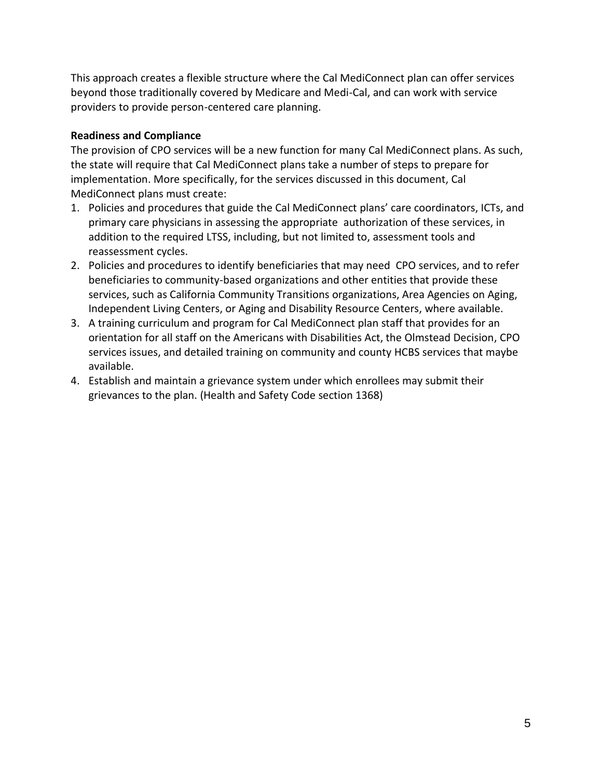This approach creates a flexible structure where the Cal MediConnect plan can offer services beyond those traditionally covered by Medicare and Medi-Cal, and can work with service providers to provide person-centered care planning.

# **Readiness and Compliance**

The provision of CPO services will be a new function for many Cal MediConnect plans. As such, the state will require that Cal MediConnect plans take a number of steps to prepare for implementation. More specifically, for the services discussed in this document, Cal MediConnect plans must create:

- 1. Policies and procedures that guide the Cal MediConnect plans' care coordinators, ICTs, and primary care physicians in assessing the appropriate authorization of these services, in addition to the required LTSS, including, but not limited to, assessment tools and reassessment cycles.
- 2. Policies and procedures to identify beneficiaries that may need CPO services, and to refer beneficiaries to community-based organizations and other entities that provide these services, such as California Community Transitions organizations, Area Agencies on Aging, Independent Living Centers, or Aging and Disability Resource Centers, where available.
- 3. A training curriculum and program for Cal MediConnect plan staff that provides for an orientation for all staff on the Americans with Disabilities Act, the Olmstead Decision, CPO services issues, and detailed training on community and county HCBS services that maybe available.
- 4. Establish and maintain a grievance system under which enrollees may submit their grievances to the plan. (Health and Safety Code section 1368)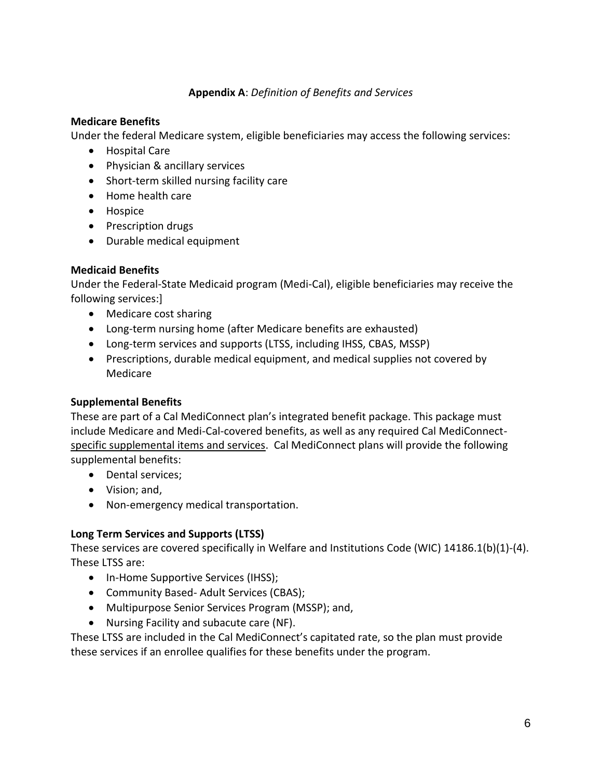# **Appendix A**: *Definition of Benefits and Services*

#### **Medicare Benefits**

Under the federal Medicare system, eligible beneficiaries may access the following services:

- Hospital Care
- Physician & ancillary services
- Short-term skilled nursing facility care
- Home health care
- Hospice
- Prescription drugs
- Durable medical equipment

# **Medicaid Benefits**

Under the Federal-State Medicaid program (Medi-Cal), eligible beneficiaries may receive the following services:]

- Medicare cost sharing
- Long-term nursing home (after Medicare benefits are exhausted)
- Long-term services and supports (LTSS, including IHSS, CBAS, MSSP)
- Prescriptions, durable medical equipment, and medical supplies not covered by Medicare

#### **Supplemental Benefits**

These are part of a Cal MediConnect plan's integrated benefit package. This package must include Medicare and Medi-Cal-covered benefits, as well as any required Cal MediConnectspecific supplemental items and services. Cal MediConnect plans will provide the following supplemental benefits:

- Dental services;
- Vision; and,
- Non-emergency medical transportation.

#### **Long Term Services and Supports (LTSS)**

These services are covered specifically in Welfare and Institutions Code (WIC) 14186.1(b)(1)-(4). These LTSS are:

- In-Home Supportive Services (IHSS);
- Community Based- Adult Services (CBAS);
- Multipurpose Senior Services Program (MSSP); and,
- Nursing Facility and subacute care (NF).

These LTSS are included in the Cal MediConnect's capitated rate, so the plan must provide these services if an enrollee qualifies for these benefits under the program.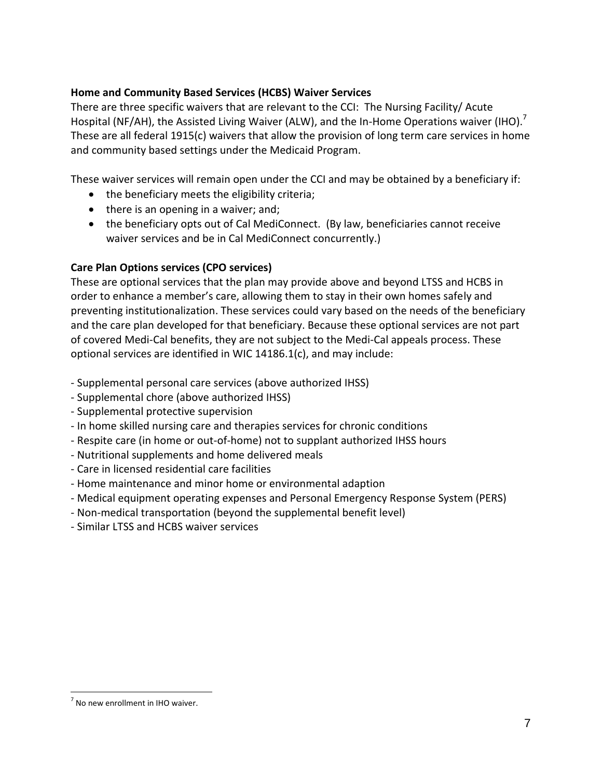# **Home and Community Based Services (HCBS) Waiver Services**

There are three specific waivers that are relevant to the CCI: The Nursing Facility/ Acute Hospital (NF/AH), the Assisted Living Waiver (ALW), and the In-Home Operations waiver (IHO).<sup>7</sup> These are all federal 1915(c) waivers that allow the provision of long term care services in home and community based settings under the Medicaid Program.

These waiver services will remain open under the CCI and may be obtained by a beneficiary if:

- the beneficiary meets the eligibility criteria;
- $\bullet$  there is an opening in a waiver; and;
- the beneficiary opts out of Cal MediConnect. (By law, beneficiaries cannot receive waiver services and be in Cal MediConnect concurrently.)

# **Care Plan Options services (CPO services)**

These are optional services that the plan may provide above and beyond LTSS and HCBS in order to enhance a member's care, allowing them to stay in their own homes safely and preventing institutionalization. These services could vary based on the needs of the beneficiary and the care plan developed for that beneficiary. Because these optional services are not part of covered Medi-Cal benefits, they are not subject to the Medi-Cal appeals process. These optional services are identified in WIC 14186.1(c), and may include:

- Supplemental personal care services (above authorized IHSS)
- Supplemental chore (above authorized IHSS)
- Supplemental protective supervision
- In home skilled nursing care and therapies services for chronic conditions
- Respite care (in home or out-of-home) not to supplant authorized IHSS hours
- Nutritional supplements and home delivered meals
- Care in licensed residential care facilities
- Home maintenance and minor home or environmental adaption
- Medical equipment operating expenses and Personal Emergency Response System (PERS)
- Non-medical transportation (beyond the supplemental benefit level)
- Similar LTSS and HCBS waiver services

 $\overline{a}$ 

 $<sup>7</sup>$  No new enrollment in IHO waiver.</sup>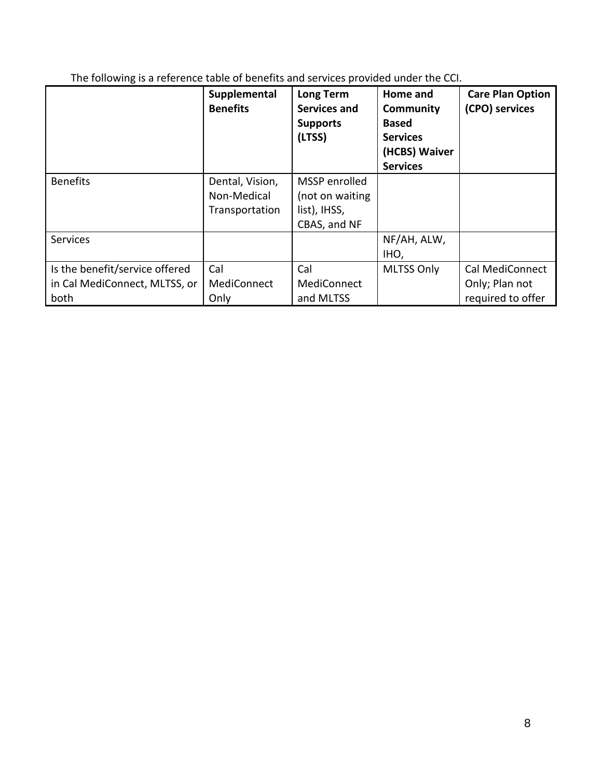The following is a reference table of benefits and services provided under the CCI.

|                                                                         | Supplemental<br><b>Benefits</b>                  | Long Term<br><b>Services and</b><br><b>Supports</b><br>(LTSS)    | Home and<br><b>Community</b><br><b>Based</b><br><b>Services</b><br>(HCBS) Waiver<br><b>Services</b> | <b>Care Plan Option</b><br>(CPO) services                     |
|-------------------------------------------------------------------------|--------------------------------------------------|------------------------------------------------------------------|-----------------------------------------------------------------------------------------------------|---------------------------------------------------------------|
| <b>Benefits</b>                                                         | Dental, Vision,<br>Non-Medical<br>Transportation | MSSP enrolled<br>(not on waiting<br>list), IHSS,<br>CBAS, and NF |                                                                                                     |                                                               |
| <b>Services</b>                                                         |                                                  |                                                                  | NF/AH, ALW,<br>IHO,                                                                                 |                                                               |
| Is the benefit/service offered<br>in Cal MediConnect, MLTSS, or<br>both | Cal<br>MediConnect<br>Only                       | Cal<br>MediConnect<br>and MLTSS                                  | <b>MLTSS Only</b>                                                                                   | <b>Cal MediConnect</b><br>Only; Plan not<br>required to offer |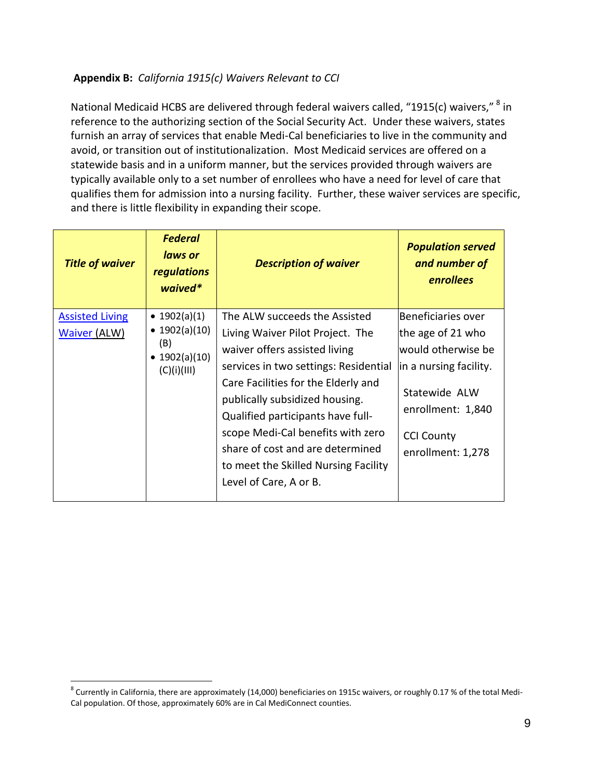# **Appendix B:** *California 1915(c) Waivers Relevant to CCI*

National Medicaid HCBS are delivered through federal waivers called, "1915(c) waivers," <sup>8</sup> in reference to the authorizing section of the Social Security Act. Under these waivers, states furnish an array of services that enable Medi-Cal beneficiaries to live in the community and avoid, or transition out of institutionalization. Most Medicaid services are offered on a statewide basis and in a uniform manner, but the services provided through waivers are typically available only to a set number of enrollees who have a need for level of care that qualifies them for admission into a nursing facility. Further, these waiver services are specific, and there is little flexibility in expanding their scope.

| <b>Title of waiver</b>                        | <b>Federal</b><br>laws or<br><b>regulations</b><br>waived*                 | <b>Description of waiver</b>                                                                                                                                                                                                                                                                                                                                                                         | <b>Population served</b><br>and number of<br>enrollees                                                                                                                   |
|-----------------------------------------------|----------------------------------------------------------------------------|------------------------------------------------------------------------------------------------------------------------------------------------------------------------------------------------------------------------------------------------------------------------------------------------------------------------------------------------------------------------------------------------------|--------------------------------------------------------------------------------------------------------------------------------------------------------------------------|
| <b>Assisted Living</b><br><b>Waiver (ALW)</b> | • $1902(a)(1)$<br>• $1902(a)(10)$<br>(B)<br>• $1902(a)(10)$<br>(C)(i)(III) | The ALW succeeds the Assisted<br>Living Waiver Pilot Project. The<br>waiver offers assisted living<br>services in two settings: Residential<br>Care Facilities for the Elderly and<br>publically subsidized housing.<br>Qualified participants have full-<br>scope Medi-Cal benefits with zero<br>share of cost and are determined<br>to meet the Skilled Nursing Facility<br>Level of Care, A or B. | Beneficiaries over<br>the age of 21 who<br>lwould otherwise be<br>in a nursing facility.<br>Statewide ALW<br>enrollment: 1,840<br><b>CCI County</b><br>enrollment: 1,278 |

 $\overline{a}$ 

 $^8$  Currently in California, there are approximately (14,000) beneficiaries on 1915c waivers, or roughly 0.17 % of the total Medi-Cal population. Of those, approximately 60% are in Cal MediConnect counties.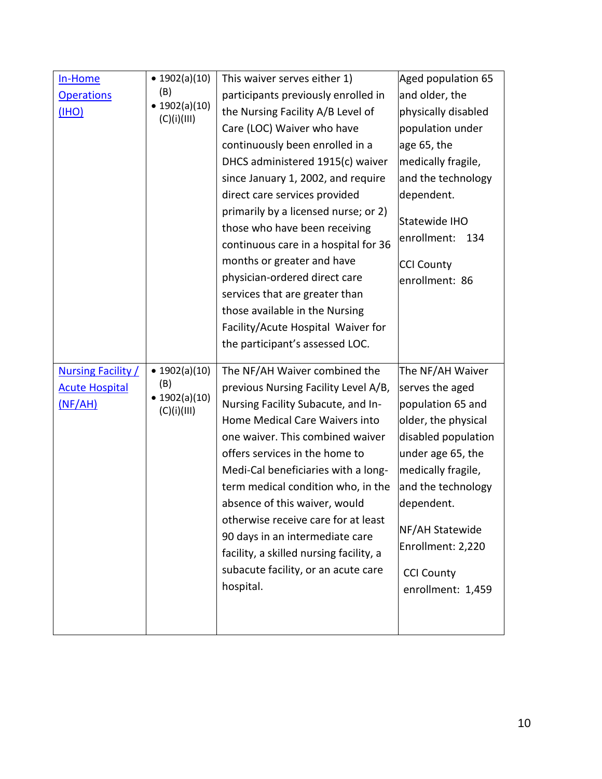| In-Home<br><b>Operations</b><br><u>(IHO)</u>                         | • $1902(a)(10)$<br>(B)<br>$\bullet$ 1902(a)(10)<br>(C)(i)(III) | This waiver serves either 1)<br>participants previously enrolled in<br>the Nursing Facility A/B Level of<br>Care (LOC) Waiver who have<br>continuously been enrolled in a<br>DHCS administered 1915(c) waiver<br>since January 1, 2002, and require<br>direct care services provided<br>primarily by a licensed nurse; or 2)<br>those who have been receiving<br>continuous care in a hospital for 36<br>months or greater and have<br>physician-ordered direct care<br>services that are greater than<br>those available in the Nursing<br>Facility/Acute Hospital Waiver for | Aged population 65<br>and older, the<br>physically disabled<br>population under<br>age 65, the<br>medically fragile,<br>and the technology<br>dependent.<br>Statewide IHO<br>enrollment:<br>134<br><b>CCI County</b><br>enrollment: 86                                  |
|----------------------------------------------------------------------|----------------------------------------------------------------|--------------------------------------------------------------------------------------------------------------------------------------------------------------------------------------------------------------------------------------------------------------------------------------------------------------------------------------------------------------------------------------------------------------------------------------------------------------------------------------------------------------------------------------------------------------------------------|-------------------------------------------------------------------------------------------------------------------------------------------------------------------------------------------------------------------------------------------------------------------------|
| <b>Nursing Facility /</b><br><b>Acute Hospital</b><br><u>(NF/AH)</u> | • $1902(a)(10)$<br>(B)<br>$\bullet$ 1902(a)(10)<br>(C)(i)(III) | the participant's assessed LOC.<br>The NF/AH Waiver combined the<br>previous Nursing Facility Level A/B,<br>Nursing Facility Subacute, and In-<br>Home Medical Care Waivers into<br>one waiver. This combined waiver<br>offers services in the home to<br>Medi-Cal beneficiaries with a long-<br>term medical condition who, in the<br>absence of this waiver, would<br>otherwise receive care for at least<br>90 days in an intermediate care<br>facility, a skilled nursing facility, a<br>subacute facility, or an acute care<br>hospital.                                  | The NF/AH Waiver<br>serves the aged<br>population 65 and<br>older, the physical<br>disabled population<br>under age 65, the<br>medically fragile,<br>and the technology<br>dependent.<br>NF/AH Statewide<br>Enrollment: 2,220<br><b>CCI County</b><br>enrollment: 1,459 |